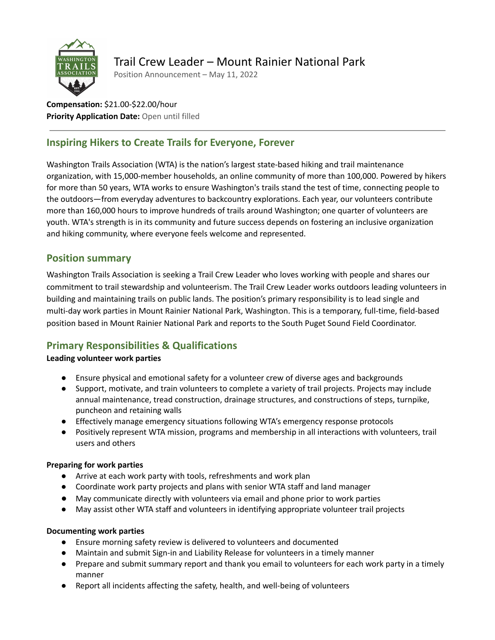

# Trail Crew Leader – Mount Rainier National Park

Position Announcement – May 11, 2022

**Compensation:** \$21.00-\$22.00/hour **Priority Application Date:** Open until filled

## **Inspiring Hikers to Create Trails for Everyone, Forever**

Washington Trails Association (WTA) is the nation's largest state-based hiking and trail maintenance organization, with 15,000-member households, an online community of more than 100,000. Powered by hikers for more than 50 years, WTA works to ensure Washington's trails stand the test of time, connecting people to the outdoors—from everyday adventures to backcountry explorations. Each year, our volunteers contribute more than 160,000 hours to improve hundreds of trails around Washington; one quarter of volunteers are youth. WTA's strength is in its community and future success depends on fostering an inclusive organization and hiking community, where everyone feels welcome and represented.

## **Position summary**

Washington Trails Association is seeking a Trail Crew Leader who loves working with people and shares our commitment to trail stewardship and volunteerism. The Trail Crew Leader works outdoors leading volunteers in building and maintaining trails on public lands. The position's primary responsibility is to lead single and multi-day work parties in Mount Rainier National Park, Washington. This is a temporary, full-time, field-based position based in Mount Rainier National Park and reports to the South Puget Sound Field Coordinator.

## **Primary Responsibilities & Qualifications**

#### **Leading volunteer work parties**

- Ensure physical and emotional safety for a volunteer crew of diverse ages and backgrounds
- **●** Support, motivate, and train volunteers to complete a variety of trail projects. Projects may include annual maintenance, tread construction, drainage structures, and constructions of steps, turnpike, puncheon and retaining walls
- Effectively manage emergency situations following WTA's emergency response protocols
- Positively represent WTA mission, programs and membership in all interactions with volunteers, trail users and others

#### **Preparing for work parties**

- Arrive at each work party with tools, refreshments and work plan
- Coordinate work party projects and plans with senior WTA staff and land manager
- May communicate directly with volunteers via email and phone prior to work parties
- May assist other WTA staff and volunteers in identifying appropriate volunteer trail projects

#### **Documenting work parties**

- Ensure morning safety review is delivered to volunteers and documented
- Maintain and submit Sign-in and Liability Release for volunteers in a timely manner
- Prepare and submit summary report and thank you email to volunteers for each work party in a timely manner
- Report all incidents affecting the safety, health, and well-being of volunteers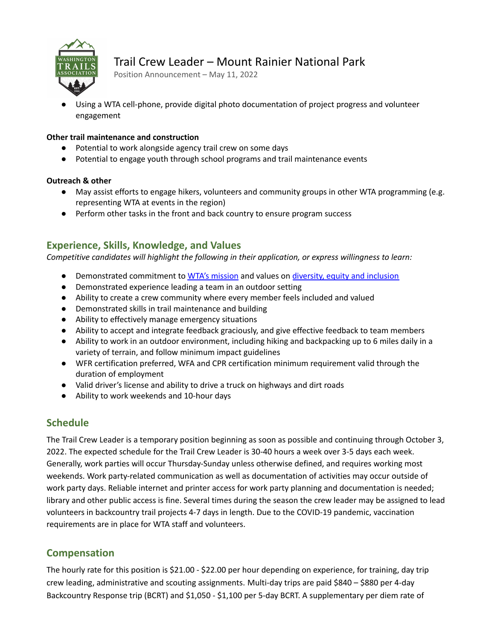

# Trail Crew Leader – Mount Rainier National Park

Position Announcement – May 11, 2022

Using a WTA cell-phone, provide digital photo documentation of project progress and volunteer engagement

#### **Other trail maintenance and construction**

- Potential to work alongside agency trail crew on some days
- Potential to engage youth through school programs and trail maintenance events

#### **Outreach & other**

- May assist efforts to engage hikers, volunteers and community groups in other WTA programming (e.g. representing WTA at events in the region)
- Perform other tasks in the front and back country to ensure program success

### **Experience, Skills, Knowledge, and Values**

*Competitive candidates will highlight the following in their application, or express willingness to learn:*

- Demonstrated commitment to WTA's [mission](https://www.wta.org/our-work/about) and values on diversity, equity and [inclusion](https://www.wta.org/our-work/about/commitment-to-diversity-equity-inclusion)
- Demonstrated experience leading a team in an outdoor setting
- Ability to create a crew community where every member feels included and valued
- Demonstrated skills in trail maintenance and building
- Ability to effectively manage emergency situations
- Ability to accept and integrate feedback graciously, and give effective feedback to team members
- Ability to work in an outdoor environment, including hiking and backpacking up to 6 miles daily in a variety of terrain, and follow minimum impact guidelines
- WFR certification preferred, WFA and CPR certification minimum requirement valid through the duration of employment
- Valid driver's license and ability to drive a truck on highways and dirt roads
- Ability to work weekends and 10-hour days

### **Schedule**

The Trail Crew Leader is a temporary position beginning as soon as possible and continuing through October 3, 2022. The expected schedule for the Trail Crew Leader is 30-40 hours a week over 3-5 days each week. Generally, work parties will occur Thursday-Sunday unless otherwise defined, and requires working most weekends. Work party-related communication as well as documentation of activities may occur outside of work party days. Reliable internet and printer access for work party planning and documentation is needed; library and other public access is fine. Several times during the season the crew leader may be assigned to lead volunteers in backcountry trail projects 4-7 days in length. Due to the COVID-19 pandemic, vaccination requirements are in place for WTA staff and volunteers.

### **Compensation**

The hourly rate for this position is \$21.00 - \$22.00 per hour depending on experience, for training, day trip crew leading, administrative and scouting assignments. Multi-day trips are paid \$840 – \$880 per 4-day Backcountry Response trip (BCRT) and \$1,050 - \$1,100 per 5-day BCRT. A supplementary per diem rate of